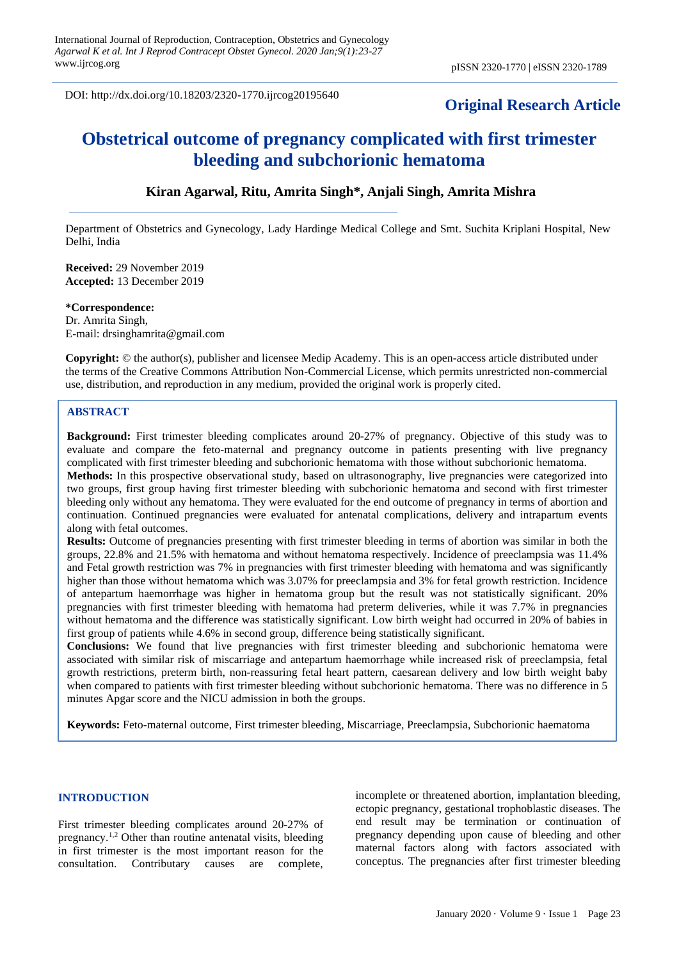DOI: http://dx.doi.org/10.18203/2320-1770.ijrcog20195640

# **Original Research Article**

# **Obstetrical outcome of pregnancy complicated with first trimester bleeding and subchorionic hematoma**

# **Kiran Agarwal, Ritu, Amrita Singh\*, Anjali Singh, Amrita Mishra**

Department of Obstetrics and Gynecology, Lady Hardinge Medical College and Smt. Suchita Kriplani Hospital, New Delhi, India

**Received:** 29 November 2019 **Accepted:** 13 December 2019

**\*Correspondence:** Dr. Amrita Singh, E-mail: drsinghamrita@gmail.com

**Copyright:** © the author(s), publisher and licensee Medip Academy. This is an open-access article distributed under the terms of the Creative Commons Attribution Non-Commercial License, which permits unrestricted non-commercial use, distribution, and reproduction in any medium, provided the original work is properly cited.

#### **ABSTRACT**

**Background:** First trimester bleeding complicates around 20-27% of pregnancy. Objective of this study was to evaluate and compare the feto-maternal and pregnancy outcome in patients presenting with live pregnancy complicated with first trimester bleeding and subchorionic hematoma with those without subchorionic hematoma.

**Methods:** In this prospective observational study, based on ultrasonography, live pregnancies were categorized into two groups, first group having first trimester bleeding with subchorionic hematoma and second with first trimester bleeding only without any hematoma. They were evaluated for the end outcome of pregnancy in terms of abortion and continuation. Continued pregnancies were evaluated for antenatal complications, delivery and intrapartum events along with fetal outcomes.

**Results:** Outcome of pregnancies presenting with first trimester bleeding in terms of abortion was similar in both the groups, 22.8% and 21.5% with hematoma and without hematoma respectively. Incidence of preeclampsia was 11.4% and Fetal growth restriction was 7% in pregnancies with first trimester bleeding with hematoma and was significantly higher than those without hematoma which was 3.07% for preeclampsia and 3% for fetal growth restriction. Incidence of antepartum haemorrhage was higher in hematoma group but the result was not statistically significant. 20% pregnancies with first trimester bleeding with hematoma had preterm deliveries, while it was 7.7% in pregnancies without hematoma and the difference was statistically significant. Low birth weight had occurred in 20% of babies in first group of patients while 4.6% in second group, difference being statistically significant.

**Conclusions:** We found that live pregnancies with first trimester bleeding and subchorionic hematoma were associated with similar risk of miscarriage and antepartum haemorrhage while increased risk of preeclampsia, fetal growth restrictions, preterm birth, non-reassuring fetal heart pattern, caesarean delivery and low birth weight baby when compared to patients with first trimester bleeding without subchorionic hematoma. There was no difference in 5 minutes Apgar score and the NICU admission in both the groups.

**Keywords:** Feto-maternal outcome, First trimester bleeding, Miscarriage, Preeclampsia, Subchorionic haematoma

#### **INTRODUCTION**

First trimester bleeding complicates around 20-27% of pregnancy.1,2 Other than routine antenatal visits, bleeding in first trimester is the most important reason for the consultation. Contributary causes are complete, incomplete or threatened abortion, implantation bleeding, ectopic pregnancy, gestational trophoblastic diseases. The end result may be termination or continuation of pregnancy depending upon cause of bleeding and other maternal factors along with factors associated with conceptus. The pregnancies after first trimester bleeding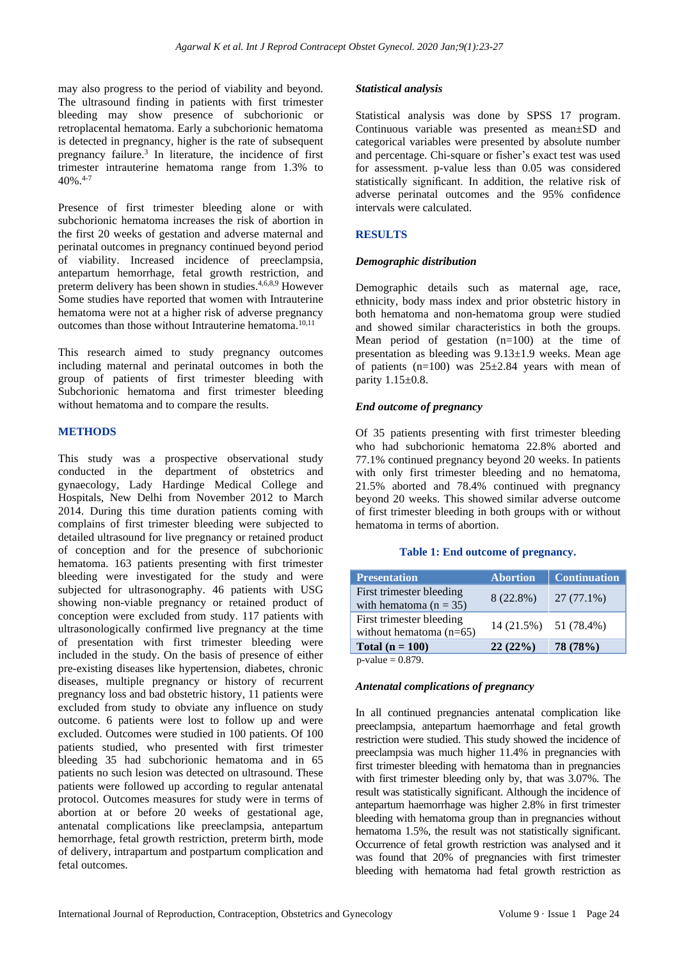may also progress to the period of viability and beyond. The ultrasound finding in patients with first trimester bleeding may show presence of subchorionic or retroplacental hematoma. Early a subchorionic hematoma is detected in pregnancy, higher is the rate of subsequent pregnancy failure.<sup>3</sup> In literature, the incidence of first trimester intrauterine hematoma range from 1.3% to  $40\%$  4-7

Presence of first trimester bleeding alone or with subchorionic hematoma increases the risk of abortion in the first 20 weeks of gestation and adverse maternal and perinatal outcomes in pregnancy continued beyond period of viability. Increased incidence of preeclampsia, antepartum hemorrhage, fetal growth restriction, and preterm delivery has been shown in studies.4,6,8,9 However Some studies have reported that women with Intrauterine hematoma were not at a higher risk of adverse pregnancy outcomes than those without Intrauterine hematoma.<sup>10,11</sup>

This research aimed to study pregnancy outcomes including maternal and perinatal outcomes in both the group of patients of first trimester bleeding with Subchorionic hematoma and first trimester bleeding without hematoma and to compare the results.

# **METHODS**

This study was a prospective observational study conducted in the department of obstetrics and gynaecology, Lady Hardinge Medical College and Hospitals, New Delhi from November 2012 to March 2014. During this time duration patients coming with complains of first trimester bleeding were subjected to detailed ultrasound for live pregnancy or retained product of conception and for the presence of subchorionic hematoma. 163 patients presenting with first trimester bleeding were investigated for the study and were subjected for ultrasonography. 46 patients with USG showing non-viable pregnancy or retained product of conception were excluded from study. 117 patients with ultrasonologically confirmed live pregnancy at the time of presentation with first trimester bleeding were included in the study. On the basis of presence of either pre-existing diseases like hypertension, diabetes, chronic diseases, multiple pregnancy or history of recurrent pregnancy loss and bad obstetric history, 11 patients were excluded from study to obviate any influence on study outcome. 6 patients were lost to follow up and were excluded. Outcomes were studied in 100 patients. Of 100 patients studied, who presented with first trimester bleeding 35 had subchorionic hematoma and in 65 patients no such lesion was detected on ultrasound. These patients were followed up according to regular antenatal protocol. Outcomes measures for study were in terms of abortion at or before 20 weeks of gestational age, antenatal complications like preeclampsia, antepartum hemorrhage, fetal growth restriction, preterm birth, mode of delivery, intrapartum and postpartum complication and fetal outcomes.

# *Statistical analysis*

Statistical analysis was done by SPSS 17 program. Continuous variable was presented as mean±SD and categorical variables were presented by absolute number and percentage. Chi-square or fisher's exact test was used for assessment. p-value less than 0.05 was considered statistically significant. In addition, the relative risk of adverse perinatal outcomes and the 95% confidence intervals were calculated.

# **RESULTS**

# *Demographic distribution*

Demographic details such as maternal age, race, ethnicity, body mass index and prior obstetric history in both hematoma and non-hematoma group were studied and showed similar characteristics in both the groups. Mean period of gestation (n=100) at the time of presentation as bleeding was 9.13±1.9 weeks. Mean age of patients  $(n=100)$  was  $25\pm 2.84$  years with mean of parity 1.15±0.8.

# *End outcome of pregnancy*

Of 35 patients presenting with first trimester bleeding who had subchorionic hematoma 22.8% aborted and 77.1% continued pregnancy beyond 20 weeks. In patients with only first trimester bleeding and no hematoma, 21.5% aborted and 78.4% continued with pregnancy beyond 20 weeks. This showed similar adverse outcome of first trimester bleeding in both groups with or without hematoma in terms of abortion.

#### **Table 1: End outcome of pregnancy.**

| <b>Presentation</b>                                   | <b>Abortion</b> | <b>Continuation</b>   |
|-------------------------------------------------------|-----------------|-----------------------|
| First trimester bleeding<br>with hematoma $(n = 35)$  | 8 (22.8%)       | $27(77.1\%)$          |
| First trimester bleeding<br>without hematoma $(n=65)$ |                 | 14 (21.5%) 51 (78.4%) |
| Total $(n = 100)$                                     | 22(22%)         | 78 (78%)              |
| $_{\rm p}$ yolue – 0.870                              |                 |                       |

 $p$ -value = 0.879.

#### *Antenatal complications of pregnancy*

In all continued pregnancies antenatal complication like preeclampsia, antepartum haemorrhage and fetal growth restriction were studied. This study showed the incidence of preeclampsia was much higher 11.4% in pregnancies with first trimester bleeding with hematoma than in pregnancies with first trimester bleeding only by, that was 3.07%. The result was statistically significant. Although the incidence of antepartum haemorrhage was higher 2.8% in first trimester bleeding with hematoma group than in pregnancies without hematoma 1.5%, the result was not statistically significant. Occurrence of fetal growth restriction was analysed and it was found that 20% of pregnancies with first trimester bleeding with hematoma had fetal growth restriction as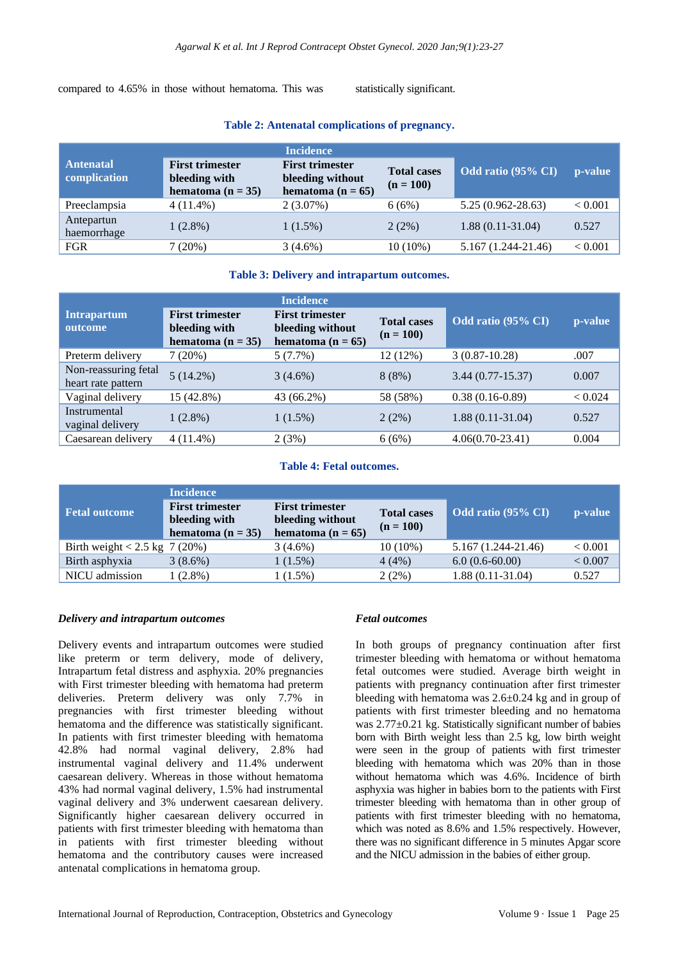compared to 4.65% in those without hematoma. This was statistically significant.

|                                  | <b>Incidence</b>                                                 |                                                                     |                                   |                        |                |
|----------------------------------|------------------------------------------------------------------|---------------------------------------------------------------------|-----------------------------------|------------------------|----------------|
| <b>Antenatal</b><br>complication | <b>First trimester</b><br>bleeding with<br>hematoma ( $n = 35$ ) | <b>First trimester</b><br>bleeding without<br>hematoma ( $n = 65$ ) | <b>Total cases</b><br>$(n = 100)$ | Odd ratio (95% CI)     | p-value        |
| Preeclampsia                     | $4(11.4\%)$                                                      | $2(3.07\%)$                                                         | 6(6%)                             | $5.25(0.962 - 28.63)$  | ${}_{< 0.001}$ |
| Antepartun<br>haemorrhage        | $1(2.8\%)$                                                       | $1(1.5\%)$                                                          | 2(2%)                             | $1.88(0.11-31.04)$     | 0.527          |
| <b>FGR</b>                       | 7(20%)                                                           | $3(4.6\%)$                                                          | $10(10\%)$                        | $5.167(1.244 - 21.46)$ | < 0.001        |

# **Table 2: Antenatal complications of pregnancy.**

# **Table 3: Delivery and intrapartum outcomes.**

| <b>Incidence</b>                           |                                                                  |                                                                     |                                   |                    |         |
|--------------------------------------------|------------------------------------------------------------------|---------------------------------------------------------------------|-----------------------------------|--------------------|---------|
| <b>Intrapartum</b><br>outcome              | <b>First trimester</b><br>bleeding with<br>hematoma ( $n = 35$ ) | <b>First trimester</b><br>bleeding without<br>hematoma ( $n = 65$ ) | <b>Total cases</b><br>$(n = 100)$ | Odd ratio (95% CI) | p-value |
| Preterm delivery                           | 7(20%)                                                           | 5(7.7%)                                                             | 12 (12%)                          | $3(0.87-10.28)$    | .007    |
| Non-reassuring fetal<br>heart rate pattern | $5(14.2\%)$                                                      | $3(4.6\%)$                                                          | 8(8%)                             | $3.44(0.77-15.37)$ | 0.007   |
| Vaginal delivery                           | 15 (42.8%)                                                       | 43 (66.2%)                                                          | 58 (58%)                          | $0.38(0.16-0.89)$  | < 0.024 |
| Instrumental<br>vaginal delivery           | $1(2.8\%)$                                                       | $1(1.5\%)$                                                          | $2(2\%)$                          | $1.88(0.11-31.04)$ | 0.527   |
| Caesarean delivery                         | $4(11.4\%)$                                                      | 2(3%)                                                               | 6(6%)                             | $4.06(0.70-23.41)$ | 0.004   |

#### **Table 4: Fetal outcomes.**

|                                | <b>Incidence</b>                                                 |                                                                     |                                   |                        |         |
|--------------------------------|------------------------------------------------------------------|---------------------------------------------------------------------|-----------------------------------|------------------------|---------|
| <b>Fetal outcome</b>           | <b>First trimester</b><br>bleeding with<br>hematoma ( $n = 35$ ) | <b>First trimester</b><br>bleeding without<br>hematoma ( $n = 65$ ) | <b>Total cases</b><br>$(n = 100)$ | Odd ratio (95% CI)     | p-value |
| Birth weight < 2.5 kg $7(20%)$ |                                                                  | $3(4.6\%)$                                                          | $10(10\%)$                        | $5.167(1.244 - 21.46)$ | < 0.001 |
| Birth asphyxia                 | $3(8.6\%)$                                                       | $1(1.5\%)$                                                          | 4(4%)                             | $6.0(0.6-60.00)$       | < 0.007 |
| NICU admission                 | $1(2.8\%)$                                                       | $1(1.5\%)$                                                          | $2(2\%)$                          | $1.88(0.11-31.04)$     | 0.527   |

# *Delivery and intrapartum outcomes*

Delivery events and intrapartum outcomes were studied like preterm or term delivery, mode of delivery, Intrapartum fetal distress and asphyxia. 20% pregnancies with First trimester bleeding with hematoma had preterm deliveries. Preterm delivery was only 7.7% in pregnancies with first trimester bleeding without hematoma and the difference was statistically significant. In patients with first trimester bleeding with hematoma 42.8% had normal vaginal delivery, 2.8% had instrumental vaginal delivery and 11.4% underwent caesarean delivery. Whereas in those without hematoma 43% had normal vaginal delivery, 1.5% had instrumental vaginal delivery and 3% underwent caesarean delivery. Significantly higher caesarean delivery occurred in patients with first trimester bleeding with hematoma than in patients with first trimester bleeding without hematoma and the contributory causes were increased antenatal complications in hematoma group.

# *Fetal outcomes*

In both groups of pregnancy continuation after first trimester bleeding with hematoma or without hematoma fetal outcomes were studied. Average birth weight in patients with pregnancy continuation after first trimester bleeding with hematoma was 2.6±0.24 kg and in group of patients with first trimester bleeding and no hematoma was 2.77±0.21 kg. Statistically significant number of babies born with Birth weight less than 2.5 kg, low birth weight were seen in the group of patients with first trimester bleeding with hematoma which was 20% than in those without hematoma which was 4.6%. Incidence of birth asphyxia was higher in babies born to the patients with First trimester bleeding with hematoma than in other group of patients with first trimester bleeding with no hematoma, which was noted as 8.6% and 1.5% respectively. However, there was no significant difference in 5 minutes Apgar score and the NICU admission in the babies of either group.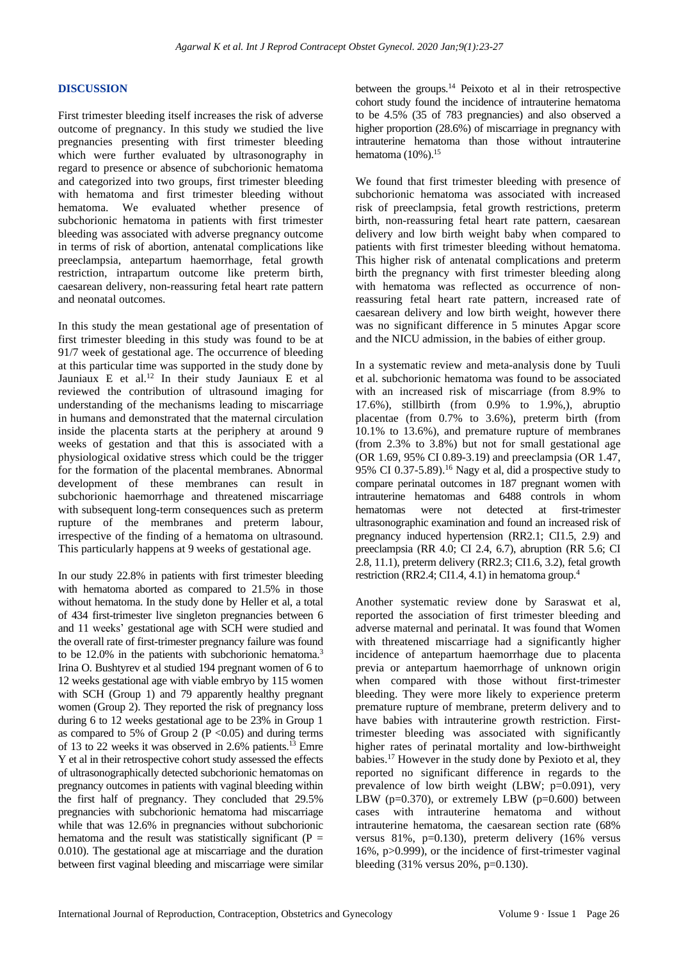# **DISCUSSION**

First trimester bleeding itself increases the risk of adverse outcome of pregnancy. In this study we studied the live pregnancies presenting with first trimester bleeding which were further evaluated by ultrasonography in regard to presence or absence of subchorionic hematoma and categorized into two groups, first trimester bleeding with hematoma and first trimester bleeding without hematoma. We evaluated whether presence of subchorionic hematoma in patients with first trimester bleeding was associated with adverse pregnancy outcome in terms of risk of abortion, antenatal complications like preeclampsia, antepartum haemorrhage, fetal growth restriction, intrapartum outcome like preterm birth, caesarean delivery, non-reassuring fetal heart rate pattern and neonatal outcomes.

In this study the mean gestational age of presentation of first trimester bleeding in this study was found to be at 91/7 week of gestational age. The occurrence of bleeding at this particular time was supported in the study done by Jauniaux E et al.<sup>12</sup> In their study Jauniaux E et al reviewed the contribution of ultrasound imaging for understanding of the mechanisms leading to miscarriage in humans and demonstrated that the maternal circulation inside the placenta starts at the periphery at around 9 weeks of gestation and that this is associated with a physiological oxidative stress which could be the trigger for the formation of the placental membranes. Abnormal development of these membranes can result in subchorionic haemorrhage and threatened miscarriage with subsequent long-term consequences such as preterm rupture of the membranes and preterm labour, irrespective of the finding of a hematoma on ultrasound. This particularly happens at 9 weeks of gestational age.

In our study 22.8% in patients with first trimester bleeding with hematoma aborted as compared to 21.5% in those without hematoma. In the study done by Heller et al, a total of 434 first-trimester live singleton pregnancies between 6 and 11 weeks' gestational age with SCH were studied and the overall rate of first-trimester pregnancy failure was found to be 12.0% in the patients with subchorionic hematoma.<sup>3</sup> Irina O. Bushtyrev et al studied 194 pregnant women of 6 to 12 weeks gestational age with viable embryo by 115 women with SCH (Group 1) and 79 apparently healthy pregnant women (Group 2). They reported the risk of pregnancy loss during 6 to 12 weeks gestational age to be 23% in Group 1 as compared to 5% of Group 2 ( $P \le 0.05$ ) and during terms of 13 to 22 weeks it was observed in 2.6% patients.<sup>13</sup> Emre Y et al in their retrospective cohort study assessed the effects of ultrasonographically detected subchorionic hematomas on pregnancy outcomes in patients with vaginal bleeding within the first half of pregnancy. They concluded that 29.5% pregnancies with subchorionic hematoma had miscarriage while that was 12.6% in pregnancies without subchorionic hematoma and the result was statistically significant ( $P =$ 0.010). The gestational age at miscarriage and the duration between first vaginal bleeding and miscarriage were similar between the groups.<sup>14</sup> Peixoto et al in their retrospective cohort study found the incidence of intrauterine hematoma to be 4.5% (35 of 783 pregnancies) and also observed a higher proportion (28.6%) of miscarriage in pregnancy with intrauterine hematoma than those without intrauterine hematoma (10%).<sup>15</sup>

We found that first trimester bleeding with presence of subchorionic hematoma was associated with increased risk of preeclampsia, fetal growth restrictions, preterm birth, non-reassuring fetal heart rate pattern, caesarean delivery and low birth weight baby when compared to patients with first trimester bleeding without hematoma. This higher risk of antenatal complications and preterm birth the pregnancy with first trimester bleeding along with hematoma was reflected as occurrence of nonreassuring fetal heart rate pattern, increased rate of caesarean delivery and low birth weight, however there was no significant difference in 5 minutes Apgar score and the NICU admission, in the babies of either group.

In a systematic review and meta-analysis done by Tuuli et al. subchorionic hematoma was found to be associated with an increased risk of miscarriage (from 8.9% to 17.6%), stillbirth (from 0.9% to 1.9%,), abruptio placentae (from 0.7% to 3.6%), preterm birth (from 10.1% to 13.6%), and premature rupture of membranes (from 2.3% to 3.8%) but not for small gestational age (OR 1.69, 95% CI 0.89-3.19) and preeclampsia (OR 1.47, 95% CI 0.37-5.89).<sup>16</sup> Nagy et al, did a prospective study to compare perinatal outcomes in 187 pregnant women with intrauterine hematomas and 6488 controls in whom hematomas were not detected at first-trimester ultrasonographic examination and found an increased risk of pregnancy induced hypertension (RR2.1; CI1.5, 2.9) and preeclampsia (RR 4.0; CI 2.4, 6.7), abruption (RR 5.6; CI 2.8, 11.1), preterm delivery (RR2.3; CI1.6, 3.2), fetal growth restriction (RR2.4; CI1.4, 4.1) in hematoma group.<sup>4</sup>

Another systematic review done by Saraswat et al, reported the association of first trimester bleeding and adverse maternal and perinatal. It was found that Women with threatened miscarriage had a significantly higher incidence of antepartum haemorrhage due to placenta previa or antepartum haemorrhage of unknown origin when compared with those without first-trimester bleeding. They were more likely to experience preterm premature rupture of membrane, preterm delivery and to have babies with intrauterine growth restriction. Firsttrimester bleeding was associated with significantly higher rates of perinatal mortality and low-birthweight babies.<sup>17</sup> However in the study done by Pexioto et al, they reported no significant difference in regards to the prevalence of low birth weight (LBW; p=0.091), very LBW ( $p=0.370$ ), or extremely LBW ( $p=0.600$ ) between cases with intrauterine hematoma and without intrauterine hematoma, the caesarean section rate (68% versus 81%, p=0.130), preterm delivery (16% versus 16%, p>0.999), or the incidence of first-trimester vaginal bleeding (31% versus 20%, p=0.130).